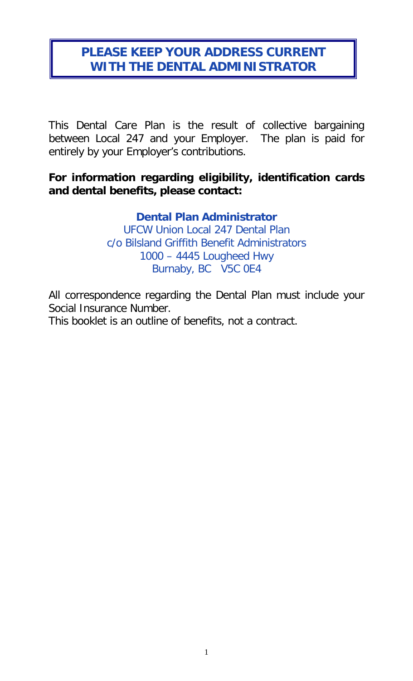## **PLEASE KEEP YOUR ADDRESS CURRENT WITH THE DENTAL ADMINISTRATOR**

This Dental Care Plan is the result of collective bargaining between Local 247 and your Employer. The plan is paid for entirely by your Employer's contributions.

#### **For information regarding eligibility, identification cards and dental benefits, please contact:**

#### **Dental Plan Administrator**

UFCW Union Local 247 Dental Plan c/o Bilsland Griffith Benefit Administrators 1000 – 4445 Lougheed Hwy Burnaby, BC V5C 0E4

All correspondence regarding the Dental Plan must include your Social Insurance Number.

This booklet is an outline of benefits, not a contract.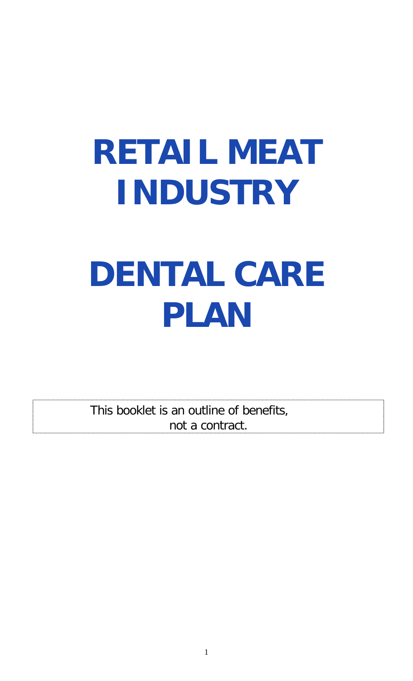# **RETAIL MEAT INDUSTRY DENTAL CARE PLAN**

This booklet is an outline of benefits, not a contract.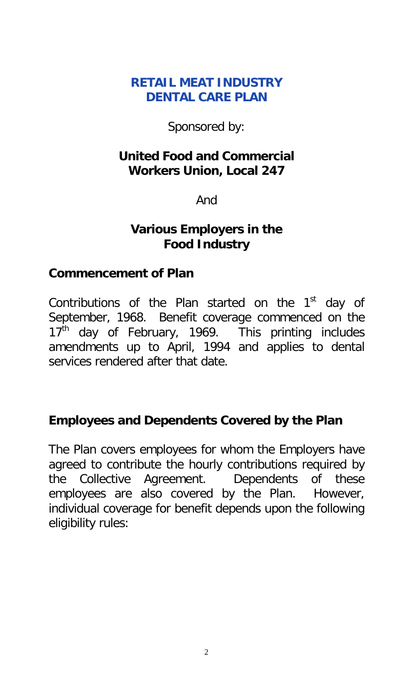#### **RETAIL MEAT INDUSTRY DENTAL CARE PLAN**

Sponsored by:

#### **United Food and Commercial Workers Union, Local 247**

And

#### **Various Employers in the Food Industry**

#### **Commencement of Plan**

Contributions of the Plan started on the  $1<sup>st</sup>$  day of September, 1968. Benefit coverage commenced on the 17<sup>th</sup> day of February, 1969. This printing includes amendments up to April, 1994 and applies to dental services rendered after that date.

#### **Employees and Dependents Covered by the Plan**

The Plan covers employees for whom the Employers have agreed to contribute the hourly contributions required by the Collective Agreement. Dependents of these employees are also covered by the Plan. However, individual coverage for benefit depends upon the following eligibility rules: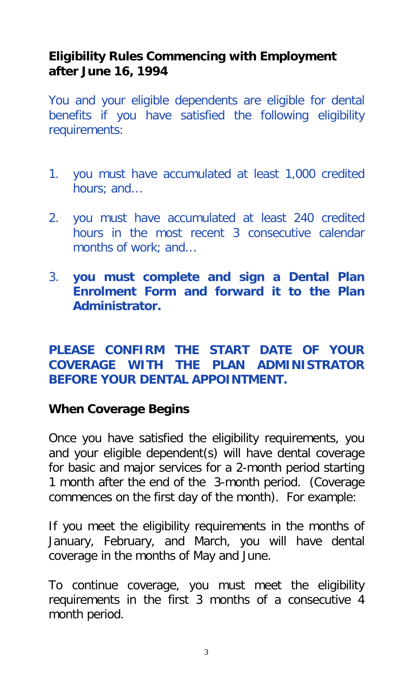#### **Eligibility Rules Commencing with Employment after June 16, 1994**

You and your eligible dependents are eligible for dental benefits if you have satisfied the following eligibility requirements:

- 1. you must have accumulated at least 1,000 credited hours; and…
- 2. you must have accumulated at least 240 credited hours in the most recent 3 consecutive calendar months of work; and…
- 3. **you must complete and sign a Dental Plan Enrolment Form and forward it to the Plan Administrator.**

#### **PLEASE CONFIRM THE START DATE OF YOUR COVERAGE WITH THE PLAN ADMINISTRATOR BEFORE YOUR DENTAL APPOINTMENT.**

#### **When Coverage Begins**

Once you have satisfied the eligibility requirements, you and your eligible dependent(s) will have dental coverage for basic and major services for a 2-month period starting 1 month after the end of the 3-month period. (Coverage commences on the first day of the month). For example:

If you meet the eligibility requirements in the months of January, February, and March, you will have dental coverage in the months of May and June.

To continue coverage, you must meet the eligibility requirements in the first 3 months of a consecutive 4 month period.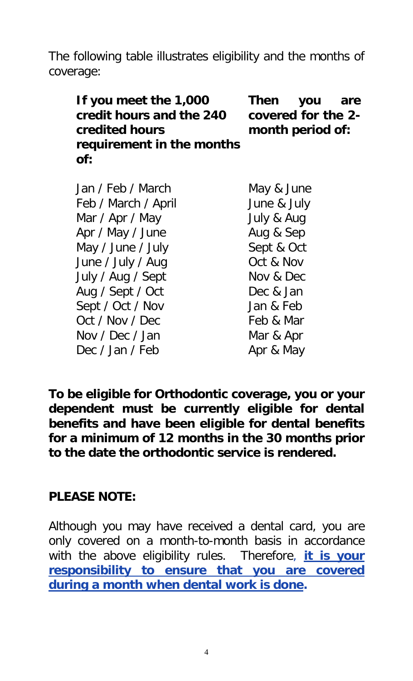The following table illustrates eligibility and the months of coverage:

| If you meet the 1,000     | Then               | you are |  |
|---------------------------|--------------------|---------|--|
| credit hours and the 240  | covered for the 2- |         |  |
| <b>credited hours</b>     | month period of:   |         |  |
| requirement in the months |                    |         |  |
| of:                       |                    |         |  |
|                           |                    |         |  |

| Jan / Feb / March   | May & June  |
|---------------------|-------------|
| Feb / March / April | June & July |
| Mar / Apr / May     | July & Aug  |
| Apr / May / June    | Aug & Sep   |
| May / June / July   | Sept & Oct  |
| June / July / Aug   | Oct & Nov   |
| July / Aug / Sept   | Nov & Dec   |
| Aug / Sept / Oct    | Dec & Jan   |
| Sept / Oct / Nov    | Jan & Feb   |
| Oct / Nov / Dec     | Feb & Mar   |
| Nov / Dec / Jan     | Mar & Apr   |
| Dec / Jan / Feb     | Apr & May   |

**To be eligible for Orthodontic coverage, you or your dependent must be currently eligible for dental benefits and have been eligible for dental benefits for a minimum of 12 months in the 30 months prior to the date the orthodontic service is rendered.**

#### **PLEASE NOTE:**

Although you may have received a dental card, you are only covered on a month-to-month basis in accordance with the above eligibility rules. Therefore, **it is your responsibility to ensure that you are covered during a month when dental work is done.**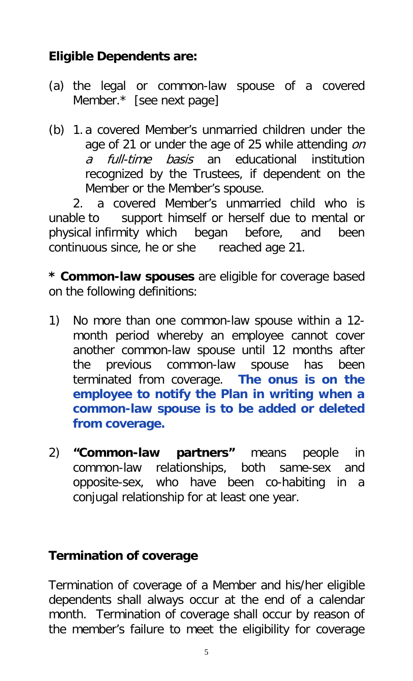# **Eligible Dependents are:**

- (a) the legal or common-law spouse of a covered Member.\* [see next page]
- (b) 1. a covered Member's unmarried children under the age of 21 or under the age of 25 while attending on a full-time basis an educational institution recognized by the Trustees, if dependent on the Member or the Member's spouse.

2. a covered Member's unmarried child who is unable to support himself or herself due to mental or physical infirmity which began before, and been continuous since, he or she reached age 21.

**\* Common-law spouses** are eligible for coverage based on the following definitions:

- 1) No more than one common-law spouse within a 12 month period whereby an employee cannot cover another common-law spouse until 12 months after the previous common-law spouse has been terminated from coverage. **The onus is on the employee to notify the Plan in writing when a common-law spouse is to be added or deleted from coverage.**
- 2) **"Common-law partners"** means people in common-law relationships, both same-sex and opposite-sex, who have been co-habiting in a conjugal relationship for at least one year.

## **Termination of coverage**

Termination of coverage of a Member and his/her eligible dependents shall always occur at the end of a calendar month. Termination of coverage shall occur by reason of the member's failure to meet the eligibility for coverage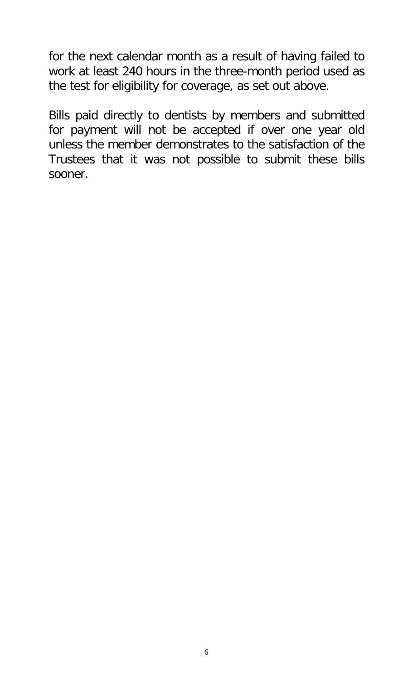for the next calendar month as a result of having failed to work at least 240 hours in the three-month period used as the test for eligibility for coverage, as set out above.

Bills paid directly to dentists by members and submitted for payment will not be accepted if over one year old unless the member demonstrates to the satisfaction of the Trustees that it was not possible to submit these bills sooner.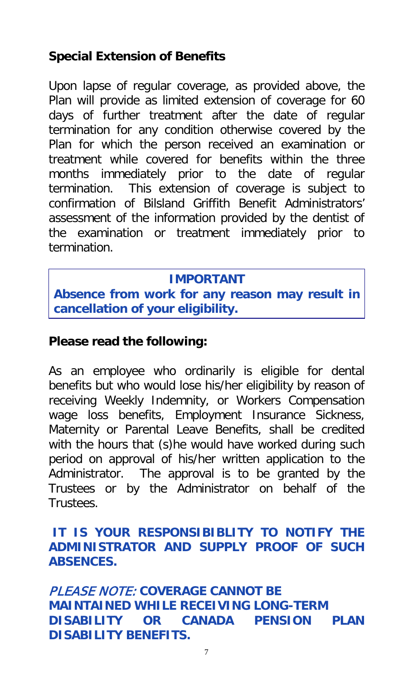## **Special Extension of Benefits**

Upon lapse of regular coverage, as provided above, the Plan will provide as limited extension of coverage for 60 days of further treatment after the date of regular termination for any condition otherwise covered by the Plan for which the person received an examination or treatment while covered for benefits within the three months immediately prior to the date of regular termination. This extension of coverage is subject to confirmation of Bilsland Griffith Benefit Administrators' assessment of the information provided by the dentist of the examination or treatment immediately prior to termination.

#### **IMPORTANT**

**Absence from work for any reason may result in cancellation of your eligibility.**

#### **Please read the following:**

As an employee who ordinarily is eligible for dental benefits but who would lose his/her eligibility by reason of receiving Weekly Indemnity, or Workers Compensation wage loss benefits, Employment Insurance Sickness, Maternity or Parental Leave Benefits, shall be credited with the hours that (s)he would have worked during such period on approval of his/her written application to the Administrator. The approval is to be granted by the Trustees or by the Administrator on behalf of the Trustees.

#### **IT IS YOUR RESPONSIBIBLITY TO NOTIFY THE ADMINISTRATOR AND SUPPLY PROOF OF SUCH ABSENCES.**

PLEASE NOTE: **COVERAGE CANNOT BE MAINTAINED WHILE RECEIVING LONG-TERM DISABILITY OR CANADA PENSION PLAN DISABILITY BENEFITS.**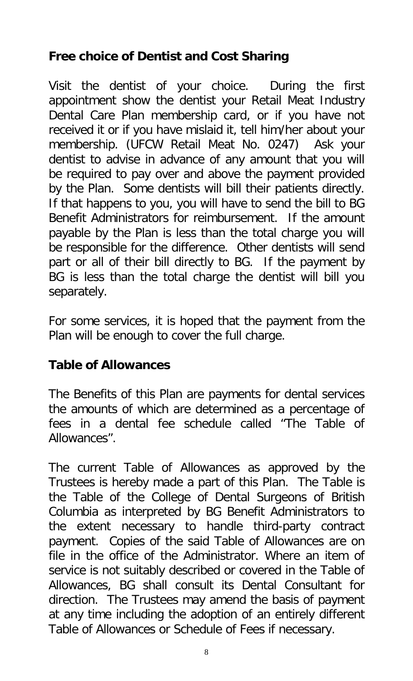# **Free choice of Dentist and Cost Sharing**

Visit the dentist of your choice. During the first appointment show the dentist your Retail Meat Industry Dental Care Plan membership card, or if you have not received it or if you have mislaid it, tell him/her about your membership. (UFCW Retail Meat No. 0247) Ask your dentist to advise in advance of any amount that you will be required to pay over and above the payment provided by the Plan. Some dentists will bill their patients directly. If that happens to you, you will have to send the bill to BG Benefit Administrators for reimbursement. If the amount payable by the Plan is less than the total charge you will be responsible for the difference. Other dentists will send part or all of their bill directly to BG. If the payment by BG is less than the total charge the dentist will bill you separately.

For some services, it is hoped that the payment from the Plan will be enough to cover the full charge.

## **Table of Allowances**

The Benefits of this Plan are payments for dental services the amounts of which are determined as a percentage of fees in a dental fee schedule called "The Table of Allowances".

The current Table of Allowances as approved by the Trustees is hereby made a part of this Plan. The Table is the Table of the College of Dental Surgeons of British Columbia as interpreted by BG Benefit Administrators to the extent necessary to handle third-party contract payment. Copies of the said Table of Allowances are on file in the office of the Administrator. Where an item of service is not suitably described or covered in the Table of Allowances, BG shall consult its Dental Consultant for direction. The Trustees may amend the basis of payment at any time including the adoption of an entirely different Table of Allowances or Schedule of Fees if necessary.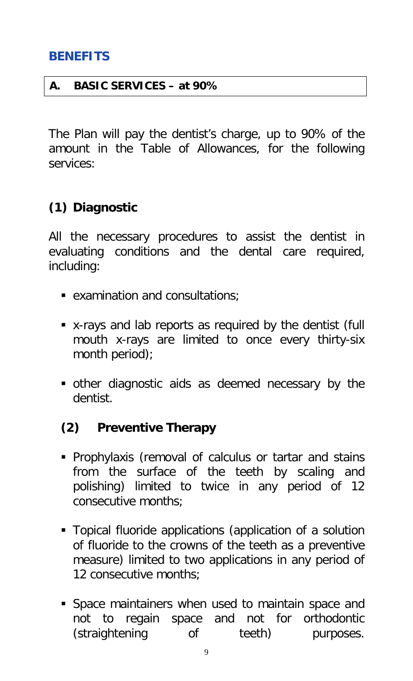#### **BENEFITS**

#### **A. BASIC SERVICES – at 90%**

The Plan will pay the dentist's charge, up to 90% of the amount in the Table of Allowances, for the following services:

#### **(1) Diagnostic**

All the necessary procedures to assist the dentist in evaluating conditions and the dental care required, including:

- examination and consultations;
- x-rays and lab reports as required by the dentist (full mouth x-rays are limited to once every thirty-six month period);
- other diagnostic aids as deemed necessary by the dentist.

#### **(2) Preventive Therapy**

- **Prophylaxis (removal of calculus or tartar and stains** from the surface of the teeth by scaling and polishing) limited to twice in any period of 12 consecutive months;
- **Topical fluoride applications (application of a solution** of fluoride to the crowns of the teeth as a preventive measure) limited to two applications in any period of 12 consecutive months;
- Space maintainers when used to maintain space and not to regain space and not for orthodontic (straightening of teeth) purposes.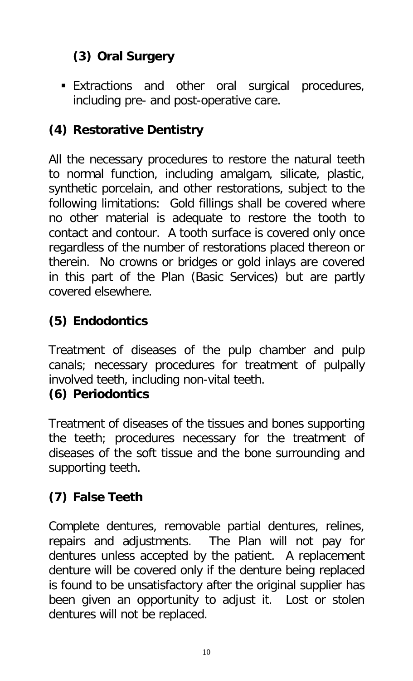# **(3) Oral Surgery**

 Extractions and other oral surgical procedures, including pre- and post-operative care.

# **(4) Restorative Dentistry**

All the necessary procedures to restore the natural teeth to normal function, including amalgam, silicate, plastic, synthetic porcelain, and other restorations, subject to the following limitations: Gold fillings shall be covered where no other material is adequate to restore the tooth to contact and contour. A tooth surface is covered only once regardless of the number of restorations placed thereon or therein. No crowns or bridges or gold inlays are covered in this part of the Plan (Basic Services) but are partly covered elsewhere.

# **(5) Endodontics**

Treatment of diseases of the pulp chamber and pulp canals; necessary procedures for treatment of pulpally involved teeth, including non-vital teeth.

## **(6) Periodontics**

Treatment of diseases of the tissues and bones supporting the teeth; procedures necessary for the treatment of diseases of the soft tissue and the bone surrounding and supporting teeth.

# **(7) False Teeth**

Complete dentures, removable partial dentures, relines, repairs and adjustments. The Plan will not pay for dentures unless accepted by the patient. A replacement denture will be covered only if the denture being replaced is found to be unsatisfactory after the original supplier has been given an opportunity to adjust it. Lost or stolen dentures will not be replaced.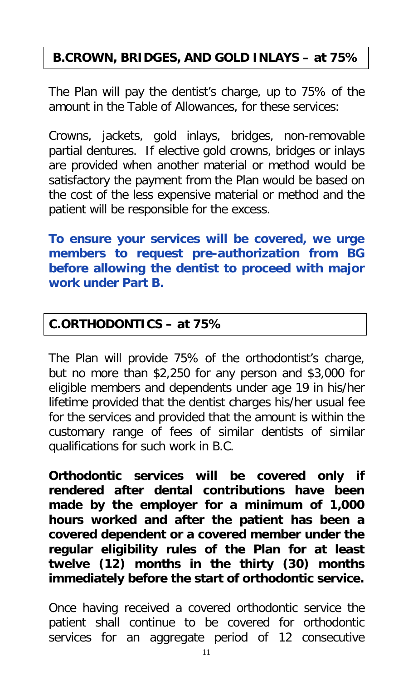# **B.CROWN, BRIDGES, AND GOLD INLAYS – at 75%**

The Plan will pay the dentist's charge, up to 75% of the amount in the Table of Allowances, for these services:

Crowns, jackets, gold inlays, bridges, non-removable partial dentures. If elective gold crowns, bridges or inlays are provided when another material or method would be satisfactory the payment from the Plan would be based on the cost of the less expensive material or method and the patient will be responsible for the excess.

**To ensure your services will be covered, we urge members to request pre-authorization from BG before allowing the dentist to proceed with major work under Part B.**

#### **C.ORTHODONTICS – at 75%**

The Plan will provide 75% of the orthodontist's charge, but no more than \$2,250 for any person and \$3,000 for eligible members and dependents under age 19 in his/her lifetime provided that the dentist charges his/her usual fee for the services and provided that the amount is within the customary range of fees of similar dentists of similar qualifications for such work in B.C.

**Orthodontic services will be covered only if rendered after dental contributions have been made by the employer for a minimum of 1,000 hours worked and after the patient has been a covered dependent or a covered member under the regular eligibility rules of the Plan for at least twelve (12) months in the thirty (30) months immediately before the start of orthodontic service.**

Once having received a covered orthodontic service the patient shall continue to be covered for orthodontic services for an aggregate period of 12 consecutive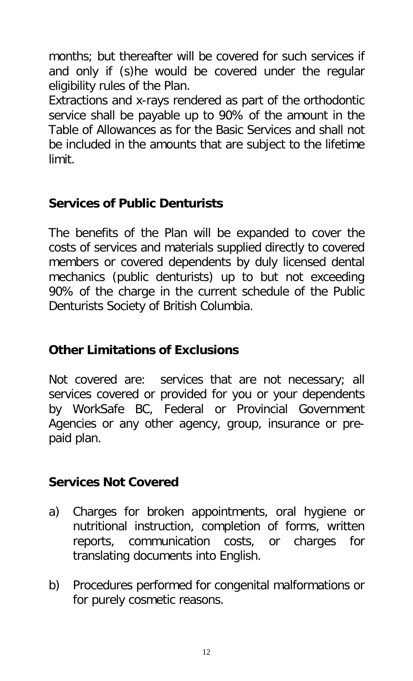months; but thereafter will be covered for such services if and only if (s)he would be covered under the regular eligibility rules of the Plan.

Extractions and x-rays rendered as part of the orthodontic service shall be payable up to 90% of the amount in the Table of Allowances as for the Basic Services and shall not be included in the amounts that are subject to the lifetime limit.

## **Services of Public Denturists**

The benefits of the Plan will be expanded to cover the costs of services and materials supplied directly to covered members or covered dependents by duly licensed dental mechanics (public denturists) up to but not exceeding 90% of the charge in the current schedule of the Public Denturists Society of British Columbia.

# **Other Limitations of Exclusions**

Not covered are: services that are not necessary; all services covered or provided for you or your dependents by WorkSafe BC, Federal or Provincial Government Agencies or any other agency, group, insurance or prepaid plan.

## **Services Not Covered**

- a) Charges for broken appointments, oral hygiene or nutritional instruction, completion of forms, written reports, communication costs, or charges for translating documents into English.
- b) Procedures performed for congenital malformations or for purely cosmetic reasons.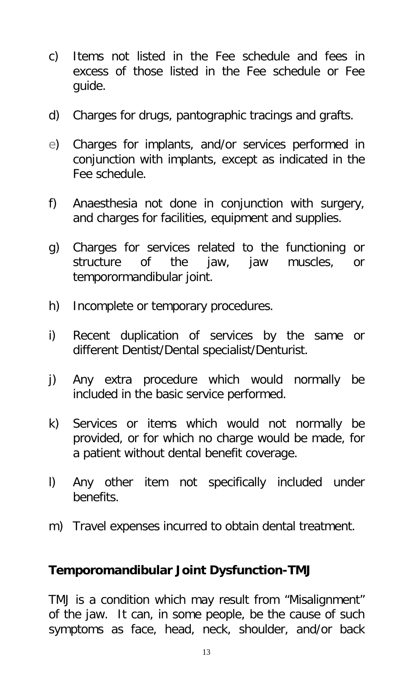- c) Items not listed in the Fee schedule and fees in excess of those listed in the Fee schedule or Fee guide.
- d) Charges for drugs, pantographic tracings and grafts.
- e) Charges for implants, and/or services performed in conjunction with implants, except as indicated in the Fee schedule.
- f) Anaesthesia not done in conjunction with surgery, and charges for facilities, equipment and supplies.
- g) Charges for services related to the functioning or structure of the jaw, jaw muscles, or temporormandibular joint.
- h) Incomplete or temporary procedures.
- i) Recent duplication of services by the same or different Dentist/Dental specialist/Denturist.
- j) Any extra procedure which would normally be included in the basic service performed.
- k) Services or items which would not normally be provided, or for which no charge would be made, for a patient without dental benefit coverage.
- l) Any other item not specifically included under benefits.
- m) Travel expenses incurred to obtain dental treatment.

#### **Temporomandibular Joint Dysfunction-TMJ**

TMJ is a condition which may result from "Misalignment" of the jaw. It can, in some people, be the cause of such symptoms as face, head, neck, shoulder, and/or back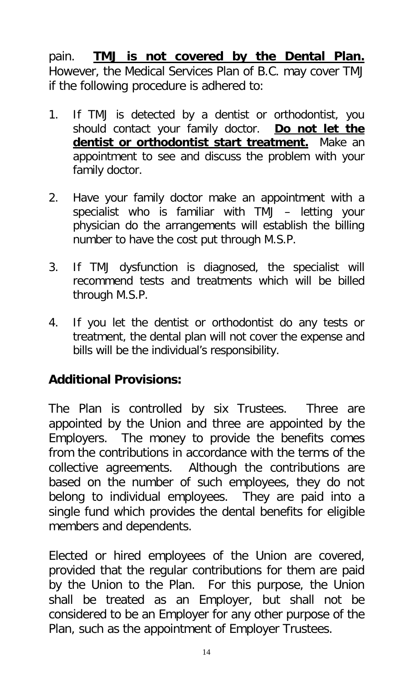pain. **TMJ is not covered by the Dental Plan.**  However, the Medical Services Plan of B.C. may cover TMJ if the following procedure is adhered to:

- 1. If TMJ is detected by a dentist or orthodontist, you should contact your family doctor. Do not let the **dentist or orthodontist start treatment.** Make an appointment to see and discuss the problem with your family doctor.
- 2. Have your family doctor make an appointment with a specialist who is familiar with TMJ – letting your physician do the arrangements will establish the billing number to have the cost put through M.S.P.
- 3. If TMJ dysfunction is diagnosed, the specialist will recommend tests and treatments which will be billed through M.S.P.
- 4. If you let the dentist or orthodontist do any tests or treatment, the dental plan will not cover the expense and bills will be the individual's responsibility.

## **Additional Provisions:**

The Plan is controlled by six Trustees. Three are appointed by the Union and three are appointed by the Employers. The money to provide the benefits comes from the contributions in accordance with the terms of the collective agreements. Although the contributions are based on the number of such employees, they do not belong to individual employees. They are paid into a single fund which provides the dental benefits for eligible members and dependents.

Elected or hired employees of the Union are covered, provided that the regular contributions for them are paid by the Union to the Plan. For this purpose, the Union shall be treated as an Employer, but shall not be considered to be an Employer for any other purpose of the Plan, such as the appointment of Employer Trustees.